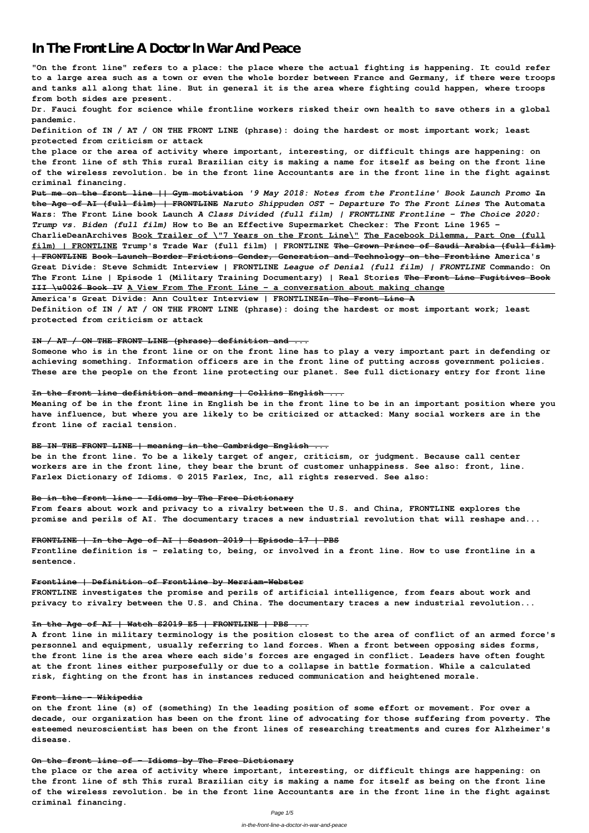# **In The Front Line A Doctor In War And Peace**

**"On the front line" refers to a place: the place where the actual fighting is happening. It could refer to a large area such as a town or even the whole border between France and Germany, if there were troops and tanks all along that line. But in general it is the area where fighting could happen, where troops from both sides are present.**

**Dr. Fauci fought for science while frontline workers risked their own health to save others in a global pandemic.**

**Definition of IN / AT / ON THE FRONT LINE (phrase): doing the hardest or most important work; least protected from criticism or attack**

**the place or the area of activity where important, interesting, or difficult things are happening: on the front line of sth This rural Brazilian city is making a name for itself as being on the front line of the wireless revolution. be in the front line Accountants are in the front line in the fight against criminal financing.**

**Put me on the front line || Gym motivation** *'9 May 2018: Notes from the Frontline' Book Launch Promo* **In the Age of AI (full film) | FRONTLINE** *Naruto Shippuden OST - Departure To The Front Lines* **The Automata Wars: The Front Line book Launch** *A Class Divided (full film) | FRONTLINE Frontline - The Choice 2020: Trump vs. Biden (full film)* **How to Be an Effective Supermarket Checker: The Front Line 1965 -**

**CharlieDeanArchives Book Trailer of \"7 Years on the Front Line\" The Facebook Dilemma, Part One (full film) | FRONTLINE Trump's Trade War (full film) | FRONTLINE The Crown Prince of Saudi Arabia (full film) | FRONTLINE Book Launch Border Frictions Gender, Generation and Technology on the Frontline America's Great Divide: Steve Schmidt Interview | FRONTLINE** *League of Denial (full film) | FRONTLINE* **Commando: On The Front Line | Episode 1 (Military Training Documentary) | Real Stories The Front Line Fugitives Book III \u0026 Book IV A View From The Front Line – a conversation about making change**

**America's Great Divide: Ann Coulter Interview | FRONTLINEIn The Front Line A Definition of IN / AT / ON THE FRONT LINE (phrase): doing the hardest or most important work; least protected from criticism or attack**

#### **IN / AT / ON THE FRONT LINE (phrase) definition and ...**

**Someone who is in the front line or on the front line has to play a very important part in defending or achieving something. Information officers are in the front line of putting across government policies. These are the people on the front line protecting our planet. See full dictionary entry for front line**

#### **In the front line definition and meaning | Collins English ...**

**Meaning of be in the front line in English be in the front line to be in an important position where you have influence, but where you are likely to be criticized or attacked: Many social workers are in the front line of racial tension.**

#### **BE IN THE FRONT LINE | meaning in the Cambridge English ...**

**be in the front line. To be a likely target of anger, criticism, or judgment. Because call center workers are in the front line, they bear the brunt of customer unhappiness. See also: front, line. Farlex Dictionary of Idioms. © 2015 Farlex, Inc, all rights reserved. See also:**

#### **Be in the front line - Idioms by The Free Dictionary**

**From fears about work and privacy to a rivalry between the U.S. and China, FRONTLINE explores the promise and perils of AI. The documentary traces a new industrial revolution that will reshape and...**

#### **FRONTLINE | In the Age of AI | Season 2019 | Episode 17 | PBS**

**Frontline definition is - relating to, being, or involved in a front line. How to use frontline in a sentence.**

#### **Frontline | Definition of Frontline by Merriam-Webster**

**FRONTLINE investigates the promise and perils of artificial intelligence, from fears about work and privacy to rivalry between the U.S. and China. The documentary traces a new industrial revolution...**

**A front line in military terminology is the position closest to the area of conflict of an armed force's personnel and equipment, usually referring to land forces. When a front between opposing sides forms, the front line is the area where each side's forces are engaged in conflict. Leaders have often fought at the front lines either purposefully or due to a collapse in battle formation. While a calculated risk, fighting on the front has in instances reduced communication and heightened morale.**

#### **Front line - Wikipedia**

**on the front line (s) of (something) In the leading position of some effort or movement. For over a decade, our organization has been on the front line of advocating for those suffering from poverty. The esteemed neuroscientist has been on the front lines of researching treatments and cures for Alzheimer's disease.**

#### **On the front line of - Idioms by The Free Dictionary**

**the place or the area of activity where important, interesting, or difficult things are happening: on the front line of sth This rural Brazilian city is making a name for itself as being on the front line of the wireless revolution. be in the front line Accountants are in the front line in the fight against criminal financing.**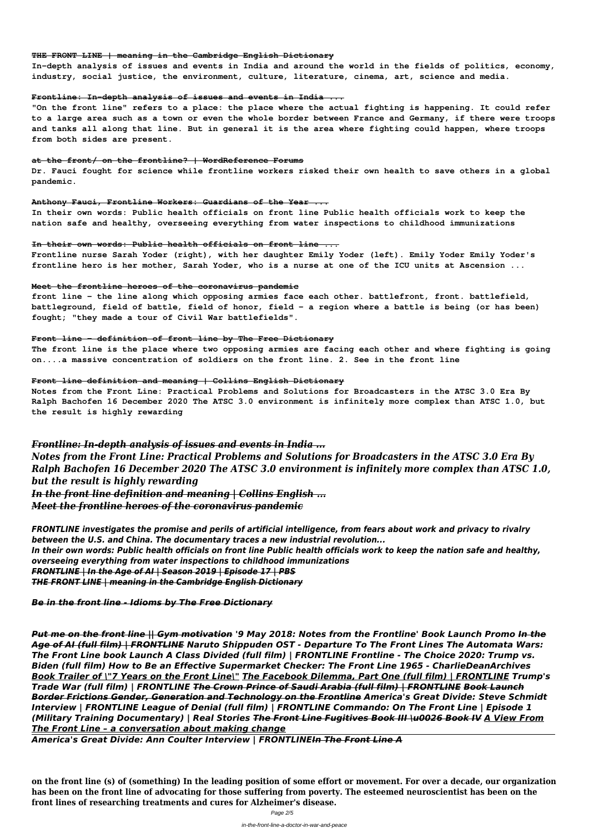#### **THE FRONT LINE | meaning in the Cambridge English Dictionary**

**In-depth analysis of issues and events in India and around the world in the fields of politics, economy, industry, social justice, the environment, culture, literature, cinema, art, science and media.**

#### **Frontline: In-depth analysis of issues and events in India ...**

**"On the front line" refers to a place: the place where the actual fighting is happening. It could refer to a large area such as a town or even the whole border between France and Germany, if there were troops and tanks all along that line. But in general it is the area where fighting could happen, where troops from both sides are present.**

#### **at the front/ on the frontline? | WordReference Forums**

**Dr. Fauci fought for science while frontline workers risked their own health to save others in a global pandemic.**

#### **Anthony Fauci, Frontline Workers: Guardians of the Year ...**

**In their own words: Public health officials on front line Public health officials work to keep the nation safe and healthy, overseeing everything from water inspections to childhood immunizations**

#### **In their own words: Public health officials on front line ...**

**Frontline nurse Sarah Yoder (right), with her daughter Emily Yoder (left). Emily Yoder Emily Yoder's frontline hero is her mother, Sarah Yoder, who is a nurse at one of the ICU units at Ascension ...**

#### **Meet the frontline heroes of the coronavirus pandemic**

**front line - the line along which opposing armies face each other. battlefront, front. battlefield, battleground, field of battle, field of honor, field - a region where a battle is being (or has been) fought; "they made a tour of Civil War battlefields".**

#### **Front line - definition of front line by The Free Dictionary**

**The front line is the place where two opposing armies are facing each other and where fighting is going on....a massive concentration of soldiers on the front line. 2. See in the front line**

#### **Front line definition and meaning | Collins English Dictionary**

**Notes from the Front Line: Practical Problems and Solutions for Broadcasters in the ATSC 3.0 Era By Ralph Bachofen 16 December 2020 The ATSC 3.0 environment is infinitely more complex than ATSC 1.0, but the result is highly rewarding**

*Frontline: In-depth analysis of issues and events in India ... Notes from the Front Line: Practical Problems and Solutions for Broadcasters in the ATSC 3.0 Era By*

*Ralph Bachofen 16 December 2020 The ATSC 3.0 environment is infinitely more complex than ATSC 1.0, but the result is highly rewarding*

*In the front line definition and meaning | Collins English ... Meet the frontline heroes of the coronavirus pandemic*

*FRONTLINE investigates the promise and perils of artificial intelligence, from fears about work and privacy to rivalry between the U.S. and China. The documentary traces a new industrial revolution... In their own words: Public health officials on front line Public health officials work to keep the nation safe and healthy, overseeing everything from water inspections to childhood immunizations FRONTLINE | In the Age of AI | Season 2019 | Episode 17 | PBS THE FRONT LINE | meaning in the Cambridge English Dictionary*

*Be in the front line - Idioms by The Free Dictionary*

*Put me on the front line || Gym motivation '9 May 2018: Notes from the Frontline' Book Launch Promo In the Age of AI (full film) | FRONTLINE Naruto Shippuden OST - Departure To The Front Lines The Automata Wars: The Front Line book Launch A Class Divided (full film) | FRONTLINE Frontline - The Choice 2020: Trump vs. Biden (full film) How to Be an Effective Supermarket Checker: The Front Line 1965 - CharlieDeanArchives Book Trailer of \"7 Years on the Front Line\" The Facebook Dilemma, Part One (full film) | FRONTLINE Trump's Trade War (full film) | FRONTLINE The Crown Prince of Saudi Arabia (full film) | FRONTLINE Book Launch Border Frictions Gender, Generation and Technology on the Frontline America's Great Divide: Steve Schmidt Interview | FRONTLINE League of Denial (full film) | FRONTLINE Commando: On The Front Line | Episode 1 (Military Training Documentary) | Real Stories The Front Line Fugitives Book III \u0026 Book IV A View From The Front Line – a conversation about making change*

*America's Great Divide: Ann Coulter Interview | FRONTLINEIn The Front Line A*

**on the front line (s) of (something) In the leading position of some effort or movement. For over a decade, our organization has been on the front line of advocating for those suffering from poverty. The esteemed neuroscientist has been on the front lines of researching treatments and cures for Alzheimer's disease.**

Page 2/5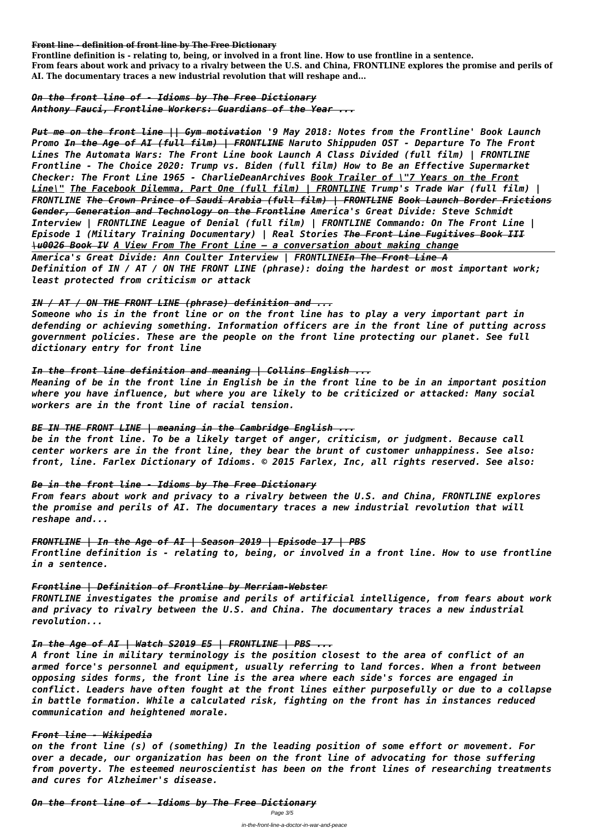**Front line - definition of front line by The Free Dictionary**

**Frontline definition is - relating to, being, or involved in a front line. How to use frontline in a sentence. From fears about work and privacy to a rivalry between the U.S. and China, FRONTLINE explores the promise and perils of AI. The documentary traces a new industrial revolution that will reshape and...**

*On the front line of - Idioms by The Free Dictionary Anthony Fauci, Frontline Workers: Guardians of the Year ...*

*Put me on the front line || Gym motivation '9 May 2018: Notes from the Frontline' Book Launch Promo In the Age of AI (full film) | FRONTLINE Naruto Shippuden OST - Departure To The Front Lines The Automata Wars: The Front Line book Launch A Class Divided (full film) | FRONTLINE Frontline - The Choice 2020: Trump vs. Biden (full film) How to Be an Effective Supermarket Checker: The Front Line 1965 - CharlieDeanArchives Book Trailer of \"7 Years on the Front Line\" The Facebook Dilemma, Part One (full film) | FRONTLINE Trump's Trade War (full film) | FRONTLINE The Crown Prince of Saudi Arabia (full film) | FRONTLINE Book Launch Border Frictions Gender, Generation and Technology on the Frontline America's Great Divide: Steve Schmidt Interview | FRONTLINE League of Denial (full film) | FRONTLINE Commando: On The Front Line | Episode 1 (Military Training Documentary) | Real Stories The Front Line Fugitives Book III \u0026 Book IV A View From The Front Line – a conversation about making change America's Great Divide: Ann Coulter Interview | FRONTLINEIn The Front Line A Definition of IN / AT / ON THE FRONT LINE (phrase): doing the hardest or most important work; least protected from criticism or attack*

## *IN / AT / ON THE FRONT LINE (phrase) definition and ...*

*Someone who is in the front line or on the front line has to play a very important part in defending or achieving something. Information officers are in the front line of putting across government policies. These are the people on the front line protecting our planet. See full dictionary entry for front line*

## *In the front line definition and meaning | Collins English ...*

*Meaning of be in the front line in English be in the front line to be in an important position where you have influence, but where you are likely to be criticized or attacked: Many social workers are in the front line of racial tension.*

## *BE IN THE FRONT LINE | meaning in the Cambridge English ...*

*be in the front line. To be a likely target of anger, criticism, or judgment. Because call center workers are in the front line, they bear the brunt of customer unhappiness. See also: front, line. Farlex Dictionary of Idioms. © 2015 Farlex, Inc, all rights reserved. See also:*

## *Be in the front line - Idioms by The Free Dictionary*

*From fears about work and privacy to a rivalry between the U.S. and China, FRONTLINE explores the promise and perils of AI. The documentary traces a new industrial revolution that will reshape and...*

## *FRONTLINE | In the Age of AI | Season 2019 | Episode 17 | PBS*

*Frontline definition is - relating to, being, or involved in a front line. How to use frontline in a sentence.*

## *Frontline | Definition of Frontline by Merriam-Webster*

*FRONTLINE investigates the promise and perils of artificial intelligence, from fears about work and privacy to rivalry between the U.S. and China. The documentary traces a new industrial revolution...*

#### *In the Age of AI | Watch S2019 E5 | FRONTLINE | PBS ...*

*A front line in military terminology is the position closest to the area of conflict of an armed force's personnel and equipment, usually referring to land forces. When a front between opposing sides forms, the front line is the area where each side's forces are engaged in conflict. Leaders have often fought at the front lines either purposefully or due to a collapse in battle formation. While a calculated risk, fighting on the front has in instances reduced communication and heightened morale.*

## *Front line - Wikipedia*

*on the front line (s) of (something) In the leading position of some effort or movement. For over a decade, our organization has been on the front line of advocating for those suffering from poverty. The esteemed neuroscientist has been on the front lines of researching treatments and cures for Alzheimer's disease.*

## *On the front line of - Idioms by The Free Dictionary* Page 3/5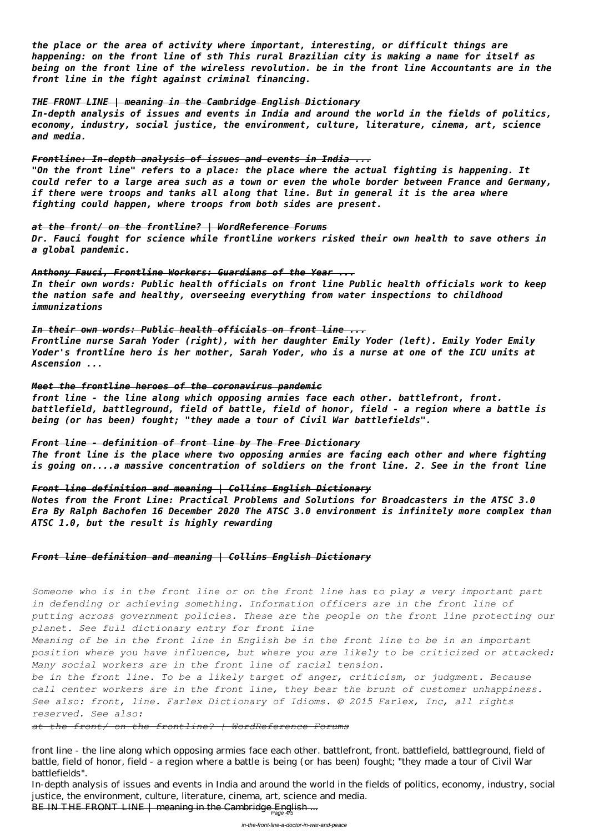*the place or the area of activity where important, interesting, or difficult things are happening: on the front line of sth This rural Brazilian city is making a name for itself as being on the front line of the wireless revolution. be in the front line Accountants are in the front line in the fight against criminal financing.*

## *THE FRONT LINE | meaning in the Cambridge English Dictionary*

*In-depth analysis of issues and events in India and around the world in the fields of politics, economy, industry, social justice, the environment, culture, literature, cinema, art, science and media.*

## *Frontline: In-depth analysis of issues and events in India ...*

*"On the front line" refers to a place: the place where the actual fighting is happening. It could refer to a large area such as a town or even the whole border between France and Germany, if there were troops and tanks all along that line. But in general it is the area where fighting could happen, where troops from both sides are present.*

## *at the front/ on the frontline? | WordReference Forums*

*Dr. Fauci fought for science while frontline workers risked their own health to save others in a global pandemic.*

## *Anthony Fauci, Frontline Workers: Guardians of the Year ...*

*In their own words: Public health officials on front line Public health officials work to keep the nation safe and healthy, overseeing everything from water inspections to childhood immunizations*

## *In their own words: Public health officials on front line ...*

*Frontline nurse Sarah Yoder (right), with her daughter Emily Yoder (left). Emily Yoder Emily Yoder's frontline hero is her mother, Sarah Yoder, who is a nurse at one of the ICU units at Ascension ...*

## *Meet the frontline heroes of the coronavirus pandemic*

*front line - the line along which opposing armies face each other. battlefront, front. battlefield, battleground, field of battle, field of honor, field - a region where a battle is being (or has been) fought; "they made a tour of Civil War battlefields".*

## *Front line - definition of front line by The Free Dictionary*

*The front line is the place where two opposing armies are facing each other and where fighting is going on....a massive concentration of soldiers on the front line. 2. See in the front line*

## *Front line definition and meaning | Collins English Dictionary*

*Notes from the Front Line: Practical Problems and Solutions for Broadcasters in the ATSC 3.0 Era By Ralph Bachofen 16 December 2020 The ATSC 3.0 environment is infinitely more complex than ATSC 1.0, but the result is highly rewarding*

## *Front line definition and meaning | Collins English Dictionary*

*Someone who is in the front line or on the front line has to play a very important part in defending or achieving something. Information officers are in the front line of putting across government policies. These are the people on the front line protecting our planet. See full dictionary entry for front line*

*Meaning of be in the front line in English be in the front line to be in an important position where you have influence, but where you are likely to be criticized or attacked: Many social workers are in the front line of racial tension.*

*be in the front line. To be a likely target of anger, criticism, or judgment. Because call center workers are in the front line, they bear the brunt of customer unhappiness. See also: front, line. Farlex Dictionary of Idioms. © 2015 Farlex, Inc, all rights reserved. See also:*

*at the front/ on the frontline? | WordReference Forums*

front line - the line along which opposing armies face each other. battlefront, front. battlefield, battleground, field of battle, field of honor, field - a region where a battle is being (or has been) fought; "they made a tour of Civil War battlefields".

In-depth analysis of issues and events in India and around the world in the fields of politics, economy, industry, social justice, the environment, culture, literature, cinema, art, science and media.

BE IN THE FRONT LINE | meaning in the Cambridge English ...